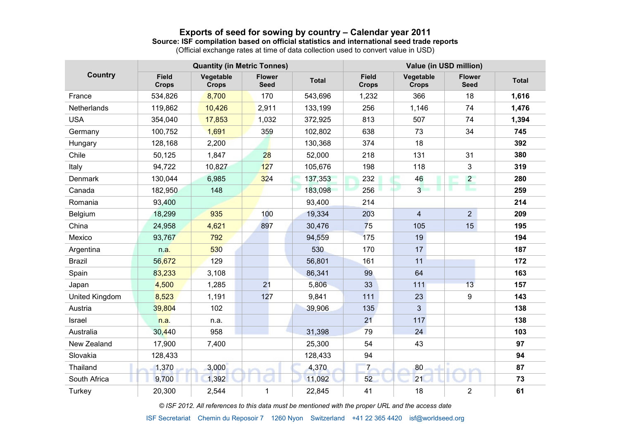## **Exports of seed for sowing by country – Calendar year 2011**

#### **Source: ISF compilation based on official statistics and international seed trade reports**

(Official exchange rates at time of data collection used to convert value in USD)

| <b>Country</b>        | <b>Quantity (in Metric Tonnes)</b> |                           |                              |              | Value (in USD million)       |                           |                              |              |  |
|-----------------------|------------------------------------|---------------------------|------------------------------|--------------|------------------------------|---------------------------|------------------------------|--------------|--|
|                       | <b>Field</b><br><b>Crops</b>       | Vegetable<br><b>Crops</b> | <b>Flower</b><br><b>Seed</b> | <b>Total</b> | <b>Field</b><br><b>Crops</b> | Vegetable<br><b>Crops</b> | <b>Flower</b><br><b>Seed</b> | <b>Total</b> |  |
| France                | 534,826                            | 8,700                     | 170                          | 543,696      | 1,232                        | 366                       | 18                           | 1,616        |  |
| Netherlands           | 119,862                            | 10,426                    | 2,911                        | 133,199      | 256                          | 1,146                     | 74                           | 1,476        |  |
| <b>USA</b>            | 354,040                            | 17,853                    | 1,032                        | 372,925      | 813                          | 507                       | 74                           | 1,394        |  |
| Germany               | 100,752                            | 1,691                     | 359                          | 102,802      | 638                          | 73                        | 34                           | 745          |  |
| Hungary               | 128,168                            | 2,200                     |                              | 130,368      | 374                          | 18                        |                              | 392          |  |
| Chile                 | 50,125                             | 1,847                     | 28                           | 52,000       | 218                          | 131                       | 31                           | 380          |  |
| Italy                 | 94,722                             | 10,827                    | 127                          | 105,676      | 198                          | 118                       | $\mathbf{3}$                 | 319          |  |
| Denmark               | 130,044                            | 6,985                     | 324                          | 137,353      | 232                          | 46                        | $2^{\circ}$                  | 280          |  |
| Canada                | 182,950                            | 148                       |                              | 183,098      | 256                          | 3 <sup>1</sup>            | مسكا<br>٠                    | 259          |  |
| Romania               | 93,400                             |                           |                              | 93,400       | 214                          |                           |                              | 214          |  |
| Belgium               | 18,299                             | 935                       | 100                          | 19,334       | 203                          | $\overline{\mathbf{4}}$   | 2                            | 209          |  |
| China                 | 24,958                             | 4,621                     | 897                          | 30,476       | 75                           | 105                       | 15                           | 195          |  |
| Mexico                | 93,767                             | 792                       |                              | 94,559       | 175                          | 19                        |                              | 194          |  |
| Argentina             | n.a.                               | 530                       |                              | 530          | 170                          | 17                        |                              | 187          |  |
| <b>Brazil</b>         | 56,672                             | 129                       |                              | 56,801       | 161                          | 11                        |                              | 172          |  |
| Spain                 | 83,233                             | 3,108                     |                              | 86,341       | 99                           | 64                        |                              | 163          |  |
| Japan                 | 4,500                              | 1,285                     | 21                           | 5,806        | 33                           | 111                       | 13                           | 157          |  |
| <b>United Kingdom</b> | 8,523                              | 1,191                     | 127                          | 9,841        | 111                          | 23                        | 9                            | 143          |  |
| Austria               | 39,804                             | 102                       |                              | 39,906       | 135                          | 3                         |                              | 138          |  |
| Israel                | n.a.                               | n.a.                      |                              |              | 21                           | 117                       |                              | 138          |  |
| Australia             | 30,440                             | 958                       |                              | 31,398       | 79                           | 24                        |                              | 103          |  |
| New Zealand           | 17,900                             | 7,400                     |                              | 25,300       | 54                           | 43                        |                              | 97           |  |
| Slovakia              | 128,433                            |                           |                              | 128,433      | 94                           |                           |                              | 94           |  |
| Thailand              | 1,370                              | 3,000                     |                              | 4,370        | $\overline{7}$               | 80                        |                              | 87           |  |
| South Africa          | 9,700                              | 1,392                     |                              | 11,092       | 52                           | 21                        |                              | 73           |  |
| Turkey                | 20,300                             | 2,544                     | 1                            | 22,845       | 41                           | 18                        | $\overline{2}$               | 61           |  |

*© ISF 2012. All references to this data must be mentioned with the proper URL and the access date*

ISF Secretariat Chemin du Reposoir 7 1260 Nyon Switzerland +41 22 365 4420 isf@worldseed.org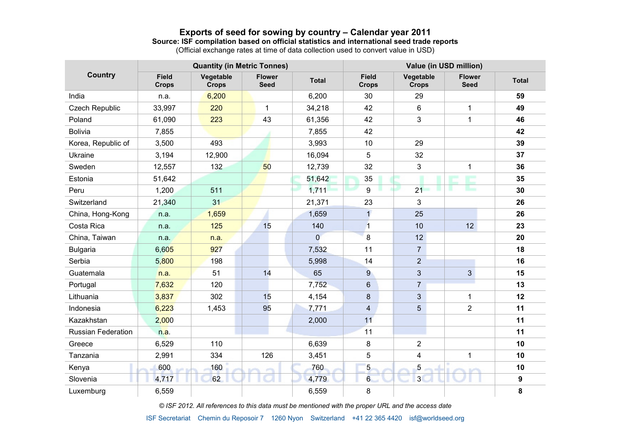## **Exports of seed for sowing by country – Calendar year 2011**

#### **Source: ISF compilation based on official statistics and international seed trade reports**

(Official exchange rates at time of data collection used to convert value in USD)

| <b>Country</b>        | <b>Quantity (in Metric Tonnes)</b> |                           |                              |                | Value (in USD million)       |                           |                              |                  |  |
|-----------------------|------------------------------------|---------------------------|------------------------------|----------------|------------------------------|---------------------------|------------------------------|------------------|--|
|                       | <b>Field</b><br><b>Crops</b>       | Vegetable<br><b>Crops</b> | <b>Flower</b><br><b>Seed</b> | <b>Total</b>   | <b>Field</b><br><b>Crops</b> | Vegetable<br><b>Crops</b> | <b>Flower</b><br><b>Seed</b> | <b>Total</b>     |  |
| India                 | n.a.                               | 6,200                     |                              | 6,200          | 30                           | 29                        |                              | 59               |  |
| <b>Czech Republic</b> | 33,997                             | 220                       | $\mathbf 1$                  | 34,218         | 42                           | 6                         | $\mathbf{1}$                 | 49               |  |
| Poland                | 61,090                             | 223                       | 43                           | 61,356         | 42                           | 3                         | $\mathbf{1}$                 | 46               |  |
| <b>Bolivia</b>        | 7,855                              |                           |                              | 7,855          | 42                           |                           |                              | 42               |  |
| Korea, Republic of    | 3,500                              | 493                       |                              | 3,993          | 10                           | 29                        |                              | 39               |  |
| <b>Ukraine</b>        | 3,194                              | 12,900                    |                              | 16,094         | 5                            | 32                        |                              | 37               |  |
| Sweden                | 12,557                             | 132                       | 50                           | 12,739         | 32                           | 3                         | $\mathbf{1}$                 | 36               |  |
| Estonia               | 51,642                             |                           |                              | 51,642         | 35                           |                           | <b>SERVICE</b>               | 35               |  |
| Peru                  | 1,200                              | 511                       |                              | 1,711          | 9                            | 21                        | ٠                            | 30               |  |
| Switzerland           | 21,340                             | 31                        |                              | 21,371         | 23                           | 3                         |                              | 26               |  |
| China, Hong-Kong      | n.a.                               | 1,659                     |                              | 1,659          | $\overline{1}$               | 25                        |                              | 26               |  |
| Costa Rica            | n.a.                               | 125                       | 15                           | 140            | $\overline{1}$               | 10                        | 12                           | 23               |  |
| China, Taiwan         | n.a.                               | n.a.                      |                              | $\overline{0}$ | 8                            | 12 <sup>2</sup>           |                              | 20               |  |
| <b>Bulgaria</b>       | 6,605                              | 927                       |                              | 7,532          | 11                           | $\overline{7}$            |                              | 18               |  |
| Serbia                | 5,800                              | 198                       |                              | 5,998          | 14                           | $\overline{2}$            |                              | 16               |  |
| Guatemala             | n.a.                               | 51                        | 14                           | 65             | 9                            | 3                         | $\mathbf{3}$                 | 15               |  |
| Portugal              | 7,632                              | 120                       |                              | 7,752          | 6                            | $\overline{7}$            |                              | 13               |  |
| Lithuania             | 3,837                              | 302                       | 15                           | 4,154          | 8                            | 3                         | $\mathbf{1}$                 | 12               |  |
| Indonesia             | 6,223                              | 1,453                     | 95                           | 7,771          | 4                            | 5                         | $\overline{2}$               | 11               |  |
| Kazakhstan            | 2,000                              |                           |                              | 2,000          | 11                           |                           |                              | 11               |  |
| Russian Federation    | n.a.                               |                           |                              |                | 11                           |                           |                              | 11               |  |
| Greece                | 6,529                              | 110                       |                              | 6,639          | 8                            | $\overline{2}$            |                              | 10               |  |
| Tanzania              | 2,991                              | 334                       | 126                          | 3,451          | 5                            | 4                         | $\mathbf{1}$                 | 10               |  |
| Kenya                 | 600                                | 160                       |                              | 760            | 5                            | 5                         |                              | 10               |  |
| Slovenia              | 4,717                              | 62                        |                              | 4,779          | $6\phantom{a}$               | 3 <sup>l</sup>            |                              | $\boldsymbol{9}$ |  |
| Luxemburg             | 6,559                              |                           |                              | 6,559          | 8                            |                           |                              | 8                |  |

*© ISF 2012. All references to this data must be mentioned with the proper URL and the access date*

ISF Secretariat Chemin du Reposoir 7 1260 Nyon Switzerland +41 22 365 4420 isf@worldseed.org